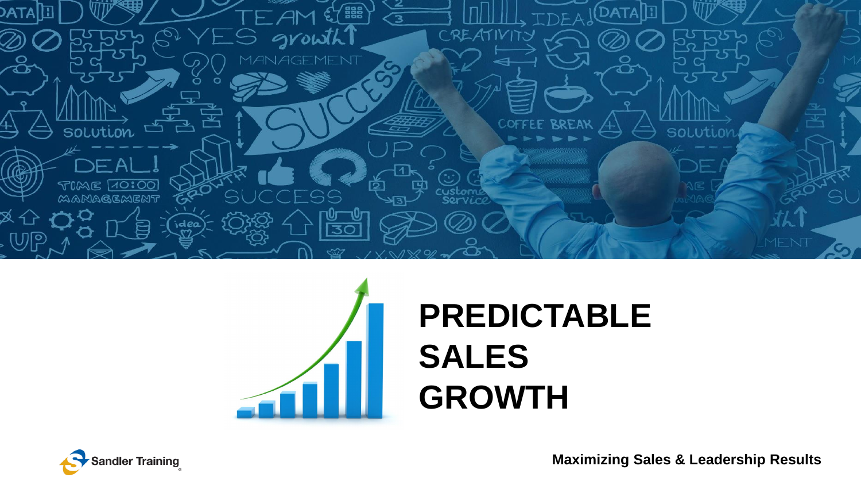



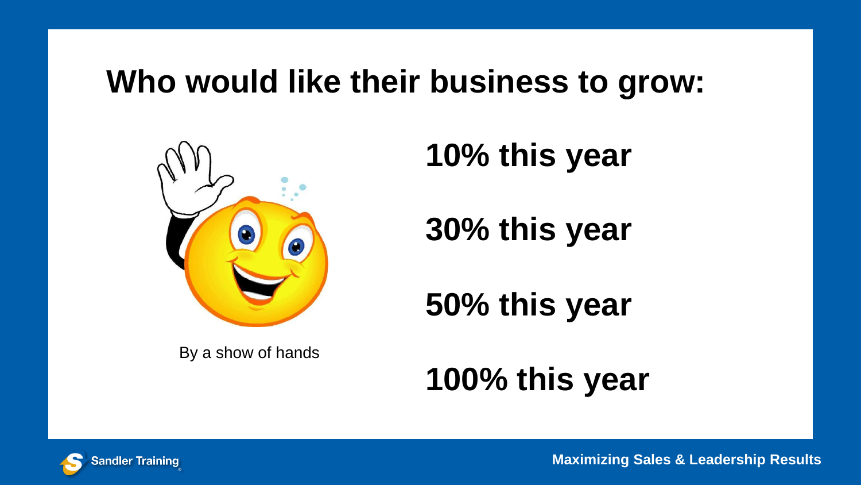### **Who would like their business to grow:**



By a show of hands

**10% this year**

**30% this year**

**50% this year**

**100% this year**

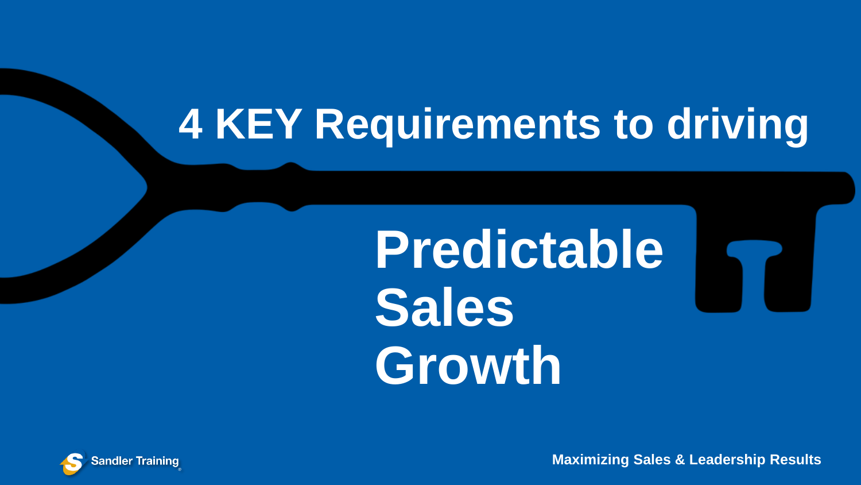## **4 KEY Requirements to driving**

# **Predictable Sales Growth**

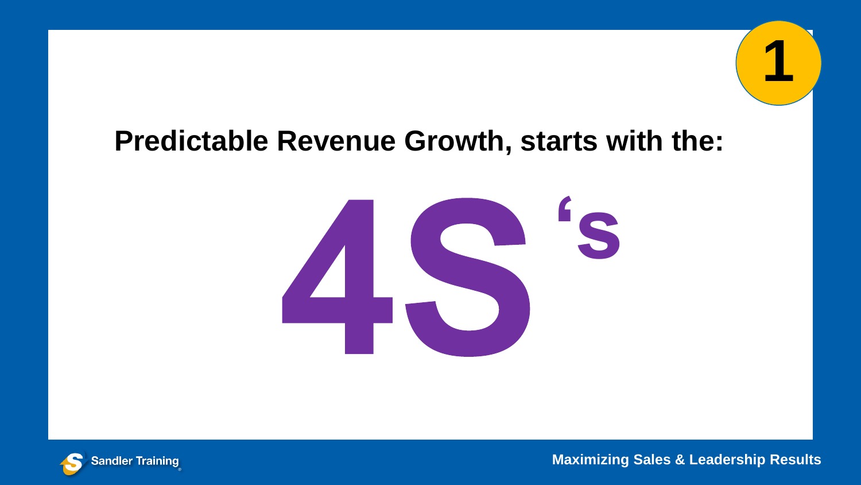### **Predictable Revenue Growth, starts with the:**





**Maximizing Sales & Leadership Results**

**1**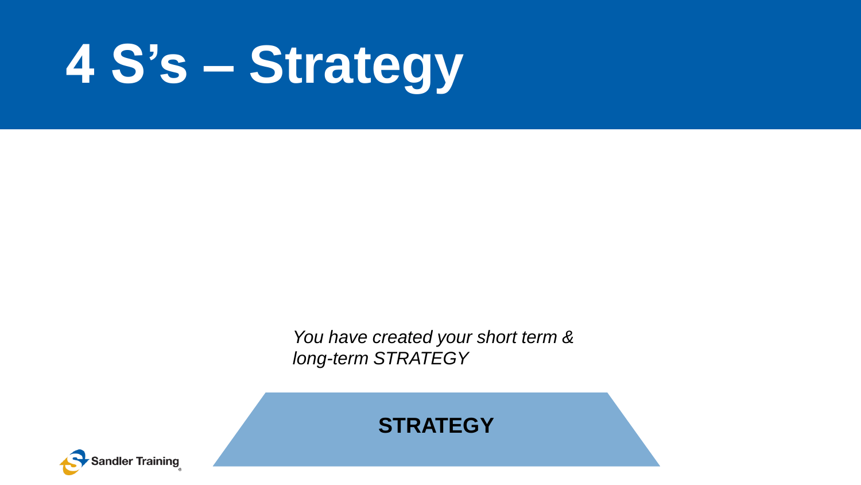# **4 S's – Strategy**

You have created your short term & *long-term STRATEGY*



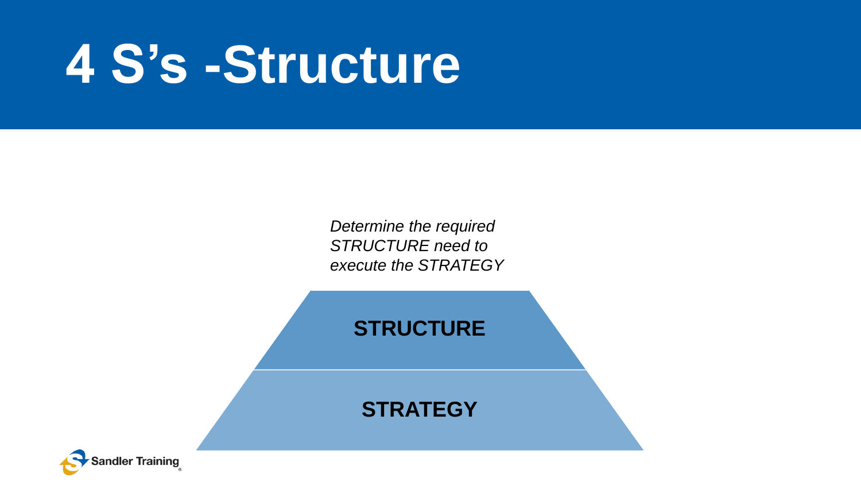# **4 S's -Structure**

STRUCTURE need to *Determine the required execute the STRATEGY*

#### **STRUCTURE**

**STRATEGY**

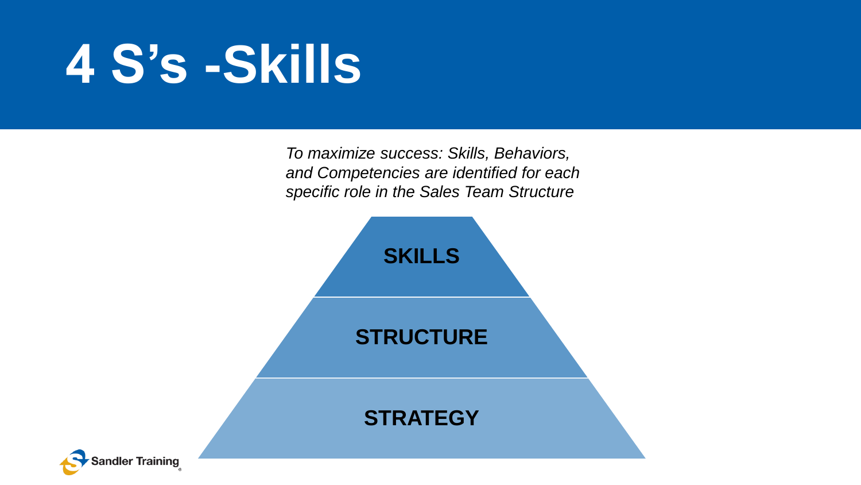# **4 S's -Skills**

and Competencies are identified for each **property** consider the Solor Team Structure *To maximize success: Skills, Behaviors, specific role in the Sales Team Structure* 



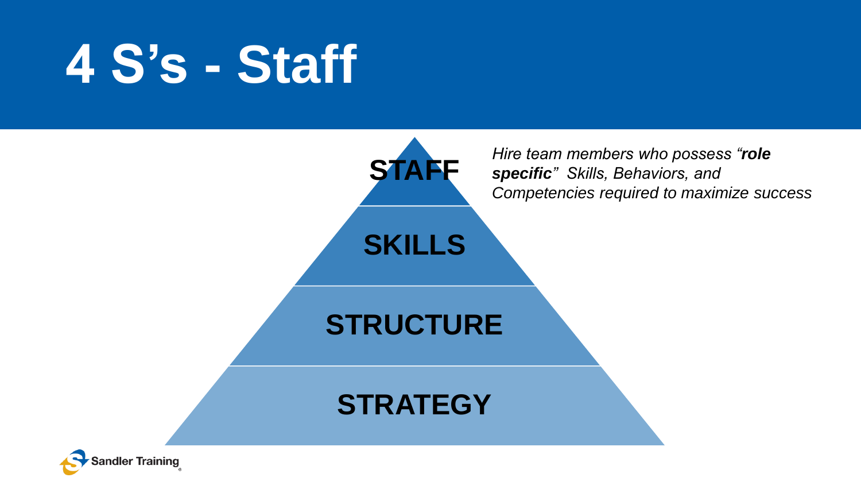# **4 S's - Staff**



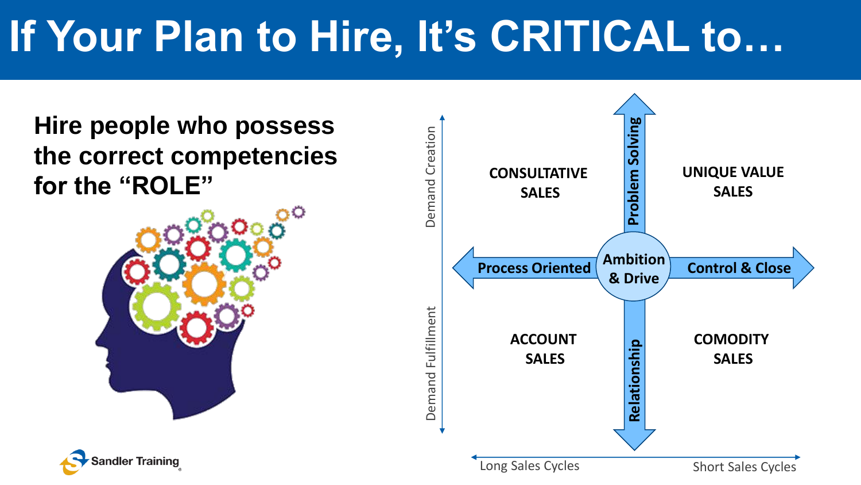### **If Your Plan to Hire, It's CRITICAL to…**

**Hire people who possess the correct competencies for the "ROLE"**





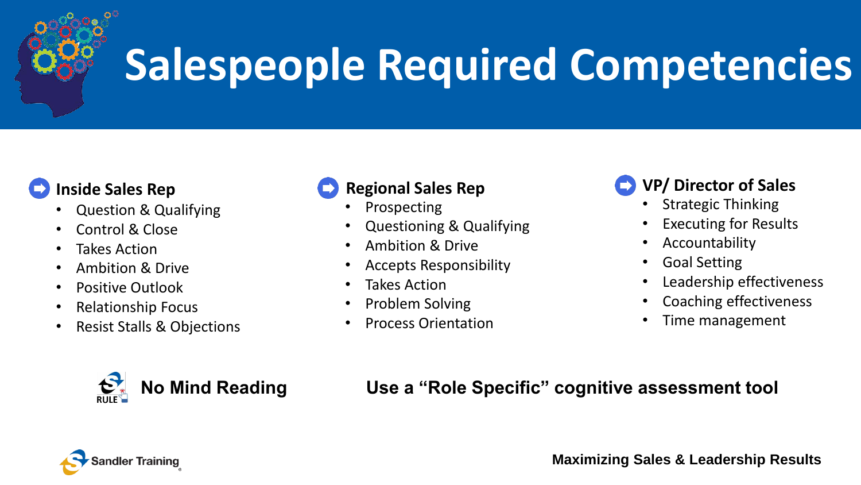

## **Salespeople Required Competencies**

#### **Inside Sales Rep**

- Question & Qualifying
- Control & Close
- **Takes Action**
- Ambition & Drive
- Positive Outlook
- Relationship Focus
- Resist Stalls & Objections



#### **Regional Sales Rep**

- **Prospecting**
- Questioning & Qualifying
- Ambition & Drive
- Accepts Responsibility
- Takes Action
- Problem Solving
- Process Orientation

#### **VP/ Director of Sales**

- Strategic Thinking
- **Executing for Results**
- Accountability
- Goal Setting
- Leadership effectiveness
- Coaching effectiveness
- Time management

**No Mind Reading Use a "Role Specific" cognitive assessment tool**

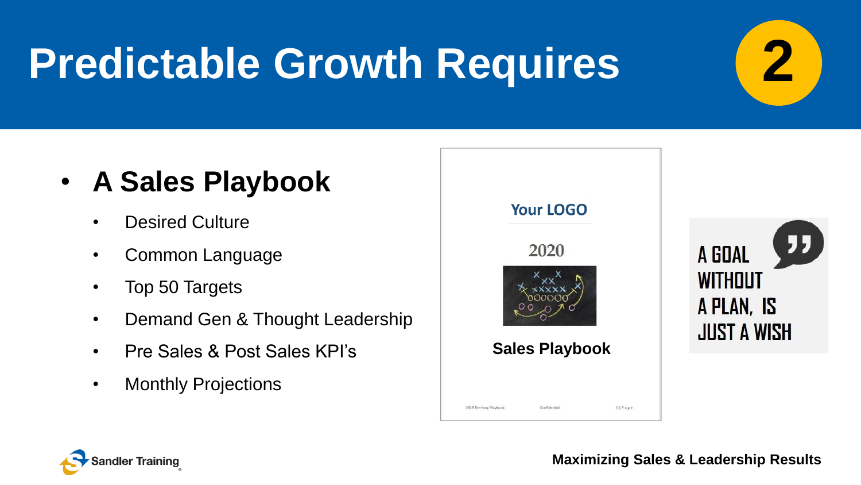## **Predictable Growth Requires**

### • **A Sales Playbook**

- Desired Culture
- Common Language
- Top 50 Targets
- Demand Gen & Thought Leadership
- Pre Sales & Post Sales KPI's
- Monthly Projections





**Maximizing Sales & Leadership Results**

**2**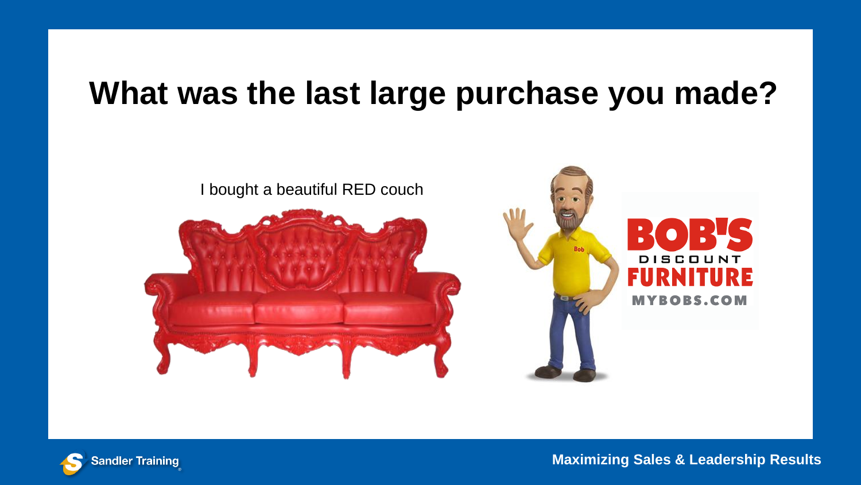### **What was the last large purchase you made?**



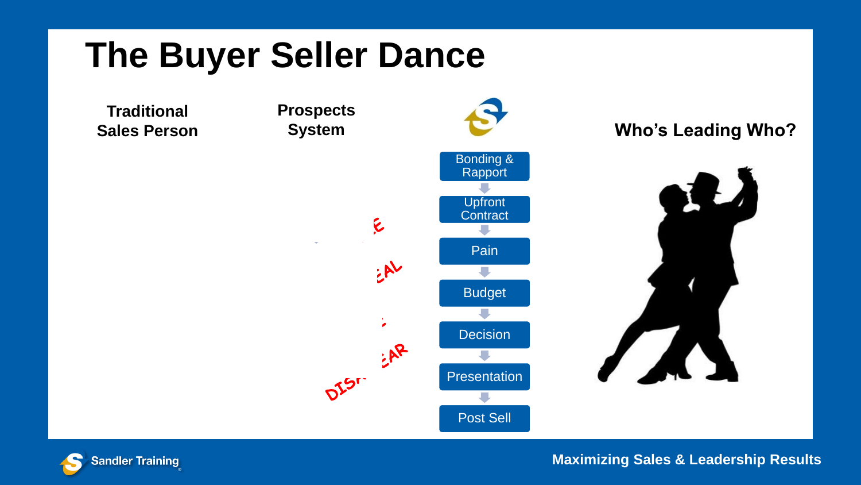### **The Buyer Seller Dance**

**Traditional Sales Person**

**Prospects** E

EAL



Post Sell





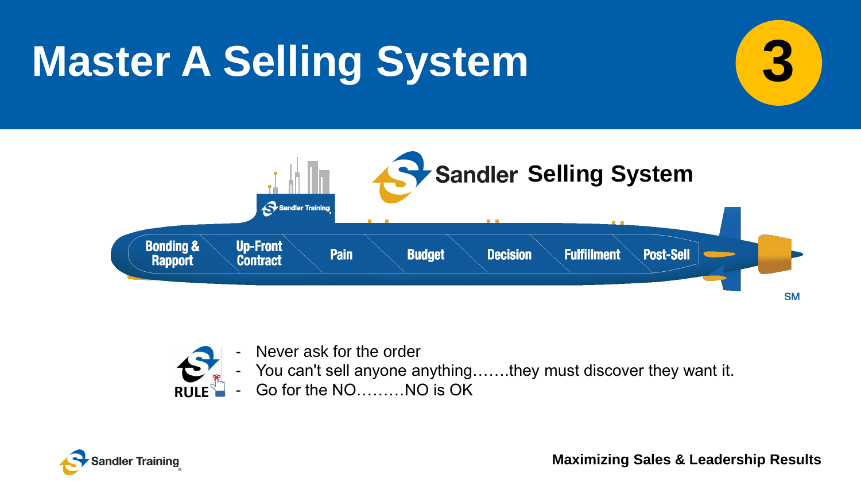## **Master A Selling System**





- Never ask for the order
	- You can't sell anyone anything…...they must discover they want it.
- Go for the NO........NO is OK  $RIIIF^{\sim}$

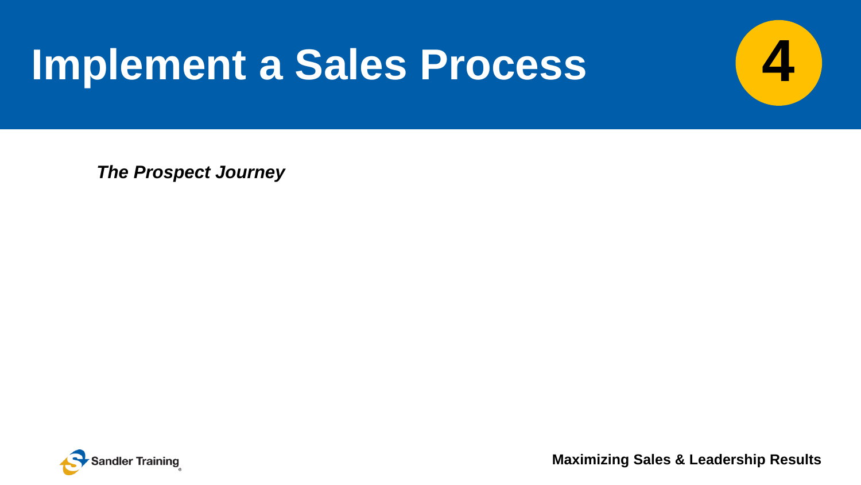### **Implement a Sales Process**

*The Prospect Journey*



**Maximizing Sales & Leadership Results**

**4**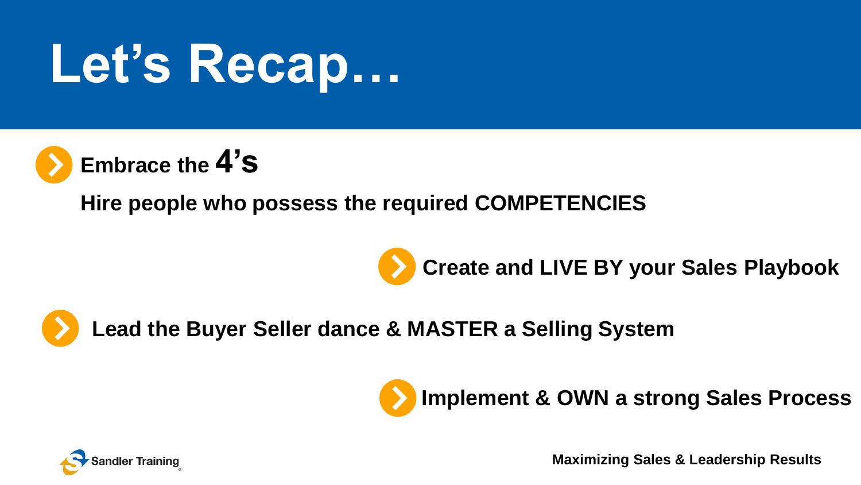# **Let's Recap…**



**Hire people who possess the required COMPETENCIES**





**Lead the Buyer Seller dance & MASTER a Selling System**



**Implement & OWN a strong Sales Process**

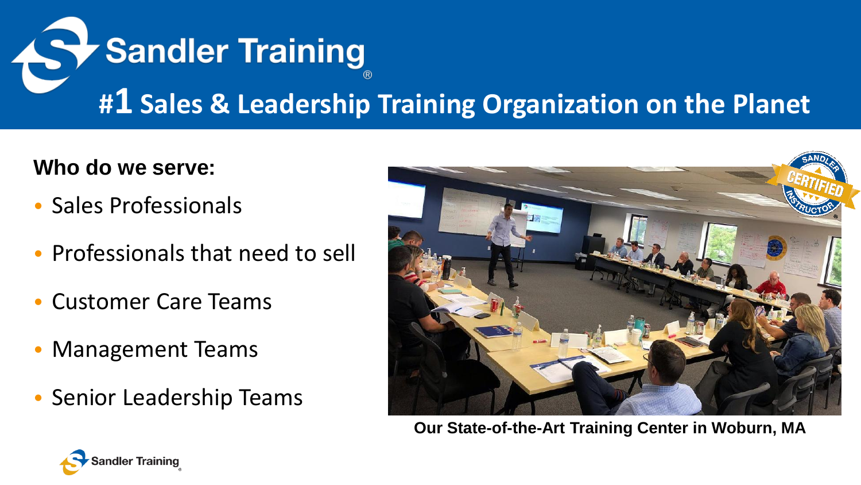

#### **Who do we serve:**

- Sales Professionals
- Professionals that need to sell
- Customer Care Teams
- Management Teams
- Senior Leadership Teams



**Our State-of-the-Art Training Center in Woburn, MA**

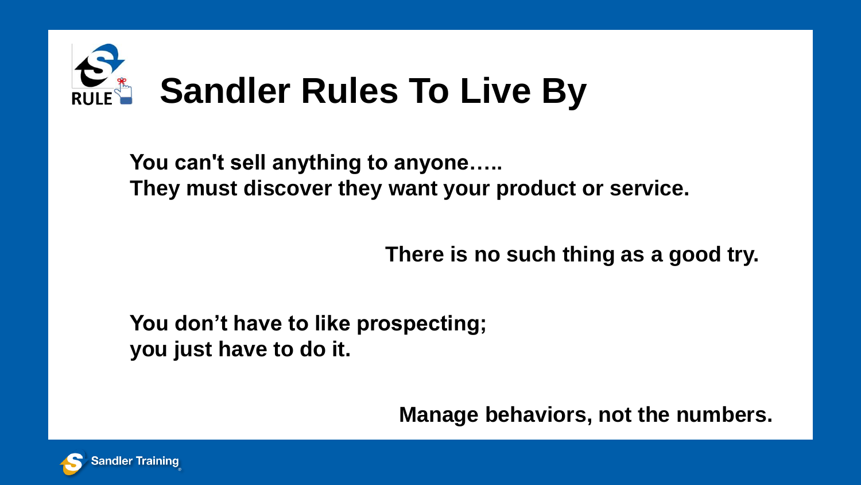

**You can't sell anything to anyone….. They must discover they want your product or service.**

**There is no such thing as a good try.** 

**You don't have to like prospecting; you just have to do it.** 

**Manage behaviors, not the numbers.**